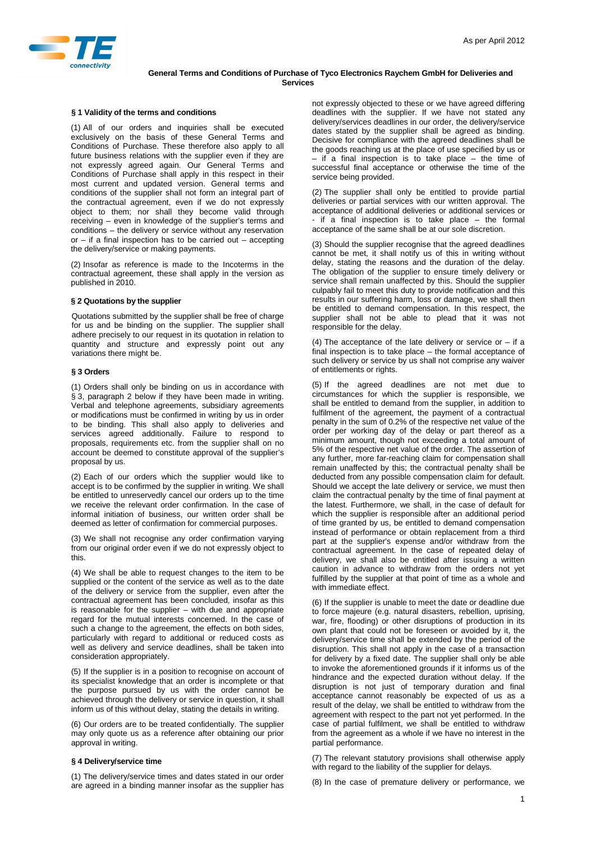

## **General Terms and Conditions of Purchase of Tyco Electronics Raychem GmbH for Deliveries and Services**

#### **§ 1 Validity of the terms and conditions**

(1) All of our orders and inquiries shall be executed exclusively on the basis of these General Terms and Conditions of Purchase. These therefore also apply to all future business relations with the supplier even if they are not expressly agreed again. Our General Terms and Conditions of Purchase shall apply in this respect in their most current and updated version. General terms and conditions of the supplier shall not form an integral part of the contractual agreement, even if we do not expressly object to them; nor shall they become valid through receiving – even in knowledge of the supplier's terms and conditions – the delivery or service without any reservation or  $-$  if a final inspection has to be carried out  $-$  accepting the delivery/service or making payments.

(2) Insofar as reference is made to the Incoterms in the contractual agreement, these shall apply in the version as published in 2010.

## **§ 2 Quotations by the supplier**

Quotations submitted by the supplier shall be free of charge for us and be binding on the supplier. The supplier shall adhere precisely to our request in its quotation in relation to quantity and structure and expressly point out any variations there might be.

#### **§ 3 Orders**

(1) Orders shall only be binding on us in accordance with § 3, paragraph 2 below if they have been made in writing. Verbal and telephone agreements, subsidiary agreements or modifications must be confirmed in writing by us in order to be binding. This shall also apply to deliveries and services agreed additionally. Failure to respond to proposals, requirements etc. from the supplier shall on no account be deemed to constitute approval of the supplier's proposal by us.

(2) Each of our orders which the supplier would like to accept is to be confirmed by the supplier in writing. We shall be entitled to unreservedly cancel our orders up to the time we receive the relevant order confirmation. In the case of informal initiation of business, our written order shall be deemed as letter of confirmation for commercial purposes.

(3) We shall not recognise any order confirmation varying from our original order even if we do not expressly object to this.

(4) We shall be able to request changes to the item to be supplied or the content of the service as well as to the date of the delivery or service from the supplier, even after the contractual agreement has been concluded, insofar as this is reasonable for the supplier – with due and appropriate regard for the mutual interests concerned. In the case of such a change to the agreement, the effects on both sides, particularly with regard to additional or reduced costs as well as delivery and service deadlines, shall be taken into consideration appropriately.

(5) If the supplier is in a position to recognise on account of its specialist knowledge that an order is incomplete or that the purpose pursued by us with the order cannot be achieved through the delivery or service in question, it shall inform us of this without delay, stating the details in writing.

(6) Our orders are to be treated confidentially. The supplier may only quote us as a reference after obtaining our prior approval in writing.

## **§ 4 Delivery/service time**

(1) The delivery/service times and dates stated in our order are agreed in a binding manner insofar as the supplier has not expressly objected to these or we have agreed differing deadlines with the supplier. If we have not stated any delivery/services deadlines in our order, the delivery/service dates stated by the supplier shall be agreed as binding. Decisive for compliance with the agreed deadlines shall be the goods reaching us at the place of use specified by us or if a final inspection is to take place  $-$  the time of successful final acceptance or otherwise the time of the service being provided.

(2) The supplier shall only be entitled to provide partial deliveries or partial services with our written approval. The acceptance of additional deliveries or additional services or if a final inspection is to take place  $-$  the formal acceptance of the same shall be at our sole discretion.

(3) Should the supplier recognise that the agreed deadlines cannot be met, it shall notify us of this in writing without delay, stating the reasons and the duration of the delay. The obligation of the supplier to ensure timely delivery or service shall remain unaffected by this. Should the supplier culpably fail to meet this duty to provide notification and this results in our suffering harm, loss or damage, we shall then be entitled to demand compensation. In this respect, the supplier shall not be able to plead that it was not responsible for the delay.

(4) The acceptance of the late delivery or service or  $-$  if a final inspection is to take place – the formal acceptance of such delivery or service by us shall not comprise any waiver of entitlements or rights.

(5) If the agreed deadlines are not met due to circumstances for which the supplier is responsible, we shall be entitled to demand from the supplier, in addition to fulfilment of the agreement, the payment of a contractual penalty in the sum of 0.2% of the respective net value of the order per working day of the delay or part thereof as a minimum amount, though not exceeding a total amount of 5% of the respective net value of the order. The assertion of any further, more far-reaching claim for compensation shall remain unaffected by this; the contractual penalty shall be deducted from any possible compensation claim for default. Should we accept the late delivery or service, we must then claim the contractual penalty by the time of final payment at the latest. Furthermore, we shall, in the case of default for which the supplier is responsible after an additional period of time granted by us, be entitled to demand compensation instead of performance or obtain replacement from a third part at the supplier's expense and/or withdraw from the contractual agreement. In the case of repeated delay of delivery, we shall also be entitled after issuing a written caution in advance to withdraw from the orders not yet fulfilled by the supplier at that point of time as a whole and with immediate effect.

(6) If the supplier is unable to meet the date or deadline due to force majeure (e.g. natural disasters, rebellion, uprising, war, fire, flooding) or other disruptions of production in its own plant that could not be foreseen or avoided by it, the delivery/service time shall be extended by the period of the disruption. This shall not apply in the case of a transaction for delivery by a fixed date. The supplier shall only be able to invoke the aforementioned grounds if it informs us of the hindrance and the expected duration without delay. If the disruption is not just of temporary duration and final acceptance cannot reasonably be expected of us as a result of the delay, we shall be entitled to withdraw from the agreement with respect to the part not yet performed. In the case of partial fulfilment, we shall be entitled to withdraw from the agreement as a whole if we have no interest in the partial performance.

(7) The relevant statutory provisions shall otherwise apply with regard to the liability of the supplier for delays.

(8) In the case of premature delivery or performance, we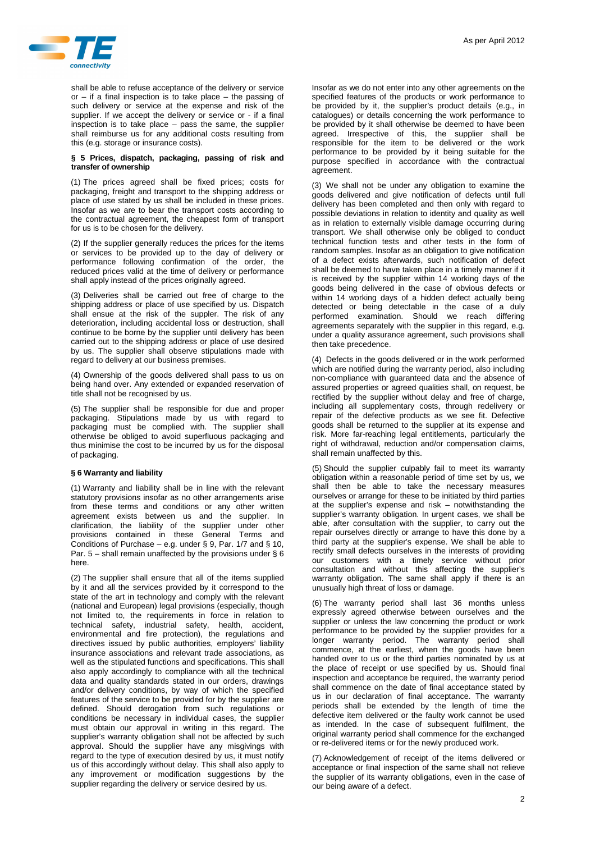

shall be able to refuse acceptance of the delivery or service or – if a final inspection is to take place – the passing of such delivery or service at the expense and risk of the supplier. If we accept the delivery or service or - if a final inspection is to take place – pass the same, the supplier shall reimburse us for any additional costs resulting from this (e.g. storage or insurance costs).

## **§ 5 Prices, dispatch, packaging, passing of risk and transfer of ownership**

(1) The prices agreed shall be fixed prices; costs for packaging, freight and transport to the shipping address or place of use stated by us shall be included in these prices. Insofar as we are to bear the transport costs according to the contractual agreement, the cheapest form of transport for us is to be chosen for the delivery.

(2) If the supplier generally reduces the prices for the items or services to be provided up to the day of delivery or performance following confirmation of the order, the reduced prices valid at the time of delivery or performance shall apply instead of the prices originally agreed.

(3) Deliveries shall be carried out free of charge to the shipping address or place of use specified by us. Dispatch shall ensue at the risk of the suppler. The risk of any deterioration, including accidental loss or destruction, shall continue to be borne by the supplier until delivery has been carried out to the shipping address or place of use desired by us. The supplier shall observe stipulations made with regard to delivery at our business premises.

(4) Ownership of the goods delivered shall pass to us on being hand over. Any extended or expanded reservation of title shall not be recognised by us.

(5) The supplier shall be responsible for due and proper packaging. Stipulations made by us with regard to packaging must be complied with. The supplier shall otherwise be obliged to avoid superfluous packaging and thus minimise the cost to be incurred by us for the disposal of packaging.

## **§ 6 Warranty and liability**

(1) Warranty and liability shall be in line with the relevant statutory provisions insofar as no other arrangements arise from these terms and conditions or any other written agreement exists between us and the supplier. In clarification, the liability of the supplier under other provisions contained in these General Terms and Conditions of Purchase – e.g. under § 9, Par.  $1/7$  and § 10, Par. 5 – shall remain unaffected by the provisions under § 6 here.

(2) The supplier shall ensure that all of the items supplied by it and all the services provided by it correspond to the state of the art in technology and comply with the relevant (national and European) legal provisions (especially, though not limited to, the requirements in force in relation to technical safety, industrial safety, health, accident, environmental and fire protection), the regulations and directives issued by public authorities, employers' liability insurance associations and relevant trade associations, as well as the stipulated functions and specifications. This shall also apply accordingly to compliance with all the technical data and quality standards stated in our orders, drawings and/or delivery conditions, by way of which the specified features of the service to be provided for by the supplier are defined. Should derogation from such regulations or conditions be necessary in individual cases, the supplier must obtain our approval in writing in this regard. The supplier's warranty obligation shall not be affected by such approval. Should the supplier have any misgivings with regard to the type of execution desired by us, it must notify us of this accordingly without delay. This shall also apply to any improvement or modification suggestions by the supplier regarding the delivery or service desired by us.

Insofar as we do not enter into any other agreements on the specified features of the products or work performance to be provided by it, the supplier's product details (e.g., in catalogues) or details concerning the work performance to be provided by it shall otherwise be deemed to have been agreed. Irrespective of this, the supplier shall be responsible for the item to be delivered or the work performance to be provided by it being suitable for the purpose specified in accordance with the contractual agreement.

(3) We shall not be under any obligation to examine the goods delivered and give notification of defects until full delivery has been completed and then only with regard to possible deviations in relation to identity and quality as well as in relation to externally visible damage occurring during transport. We shall otherwise only be obliged to conduct technical function tests and other tests in the form of random samples. Insofar as an obligation to give notification of a defect exists afterwards, such notification of defect shall be deemed to have taken place in a timely manner if it is received by the supplier within 14 working days of the goods being delivered in the case of obvious defects or within 14 working days of a hidden defect actually being detected or being detectable in the case of a duly performed examination. Should we reach differing agreements separately with the supplier in this regard, e.g. under a quality assurance agreement, such provisions shall then take precedence.

(4) Defects in the goods delivered or in the work performed which are notified during the warranty period, also including non-compliance with guaranteed data and the absence of assured properties or agreed qualities shall, on request, be rectified by the supplier without delay and free of charge, including all supplementary costs, through redelivery or repair of the defective products as we see fit. Defective goods shall be returned to the supplier at its expense and risk. More far-reaching legal entitlements, particularly the right of withdrawal, reduction and/or compensation claims, shall remain unaffected by this.

(5) Should the supplier culpably fail to meet its warranty obligation within a reasonable period of time set by us, we shall then be able to take the necessary measures ourselves or arrange for these to be initiated by third parties at the supplier's expense and risk – notwithstanding the supplier's warranty obligation. In urgent cases, we shall be able, after consultation with the supplier, to carry out the repair ourselves directly or arrange to have this done by a third party at the supplier's expense. We shall be able to rectify small defects ourselves in the interests of providing our customers with a timely service without prior consultation and without this affecting the supplier's warranty obligation. The same shall apply if there is an unusually high threat of loss or damage.

(6) The warranty period shall last 36 months unless expressly agreed otherwise between ourselves and the supplier or unless the law concerning the product or work performance to be provided by the supplier provides for a longer warranty period. The warranty period shall commence, at the earliest, when the goods have been handed over to us or the third parties nominated by us at the place of receipt or use specified by us. Should final inspection and acceptance be required, the warranty period shall commence on the date of final acceptance stated by us in our declaration of final acceptance. The warranty periods shall be extended by the length of time the defective item delivered or the faulty work cannot be used as intended. In the case of subsequent fulfilment, the original warranty period shall commence for the exchanged or re-delivered items or for the newly produced work.

(7) Acknowledgement of receipt of the items delivered or acceptance or final inspection of the same shall not relieve the supplier of its warranty obligations, even in the case of our being aware of a defect.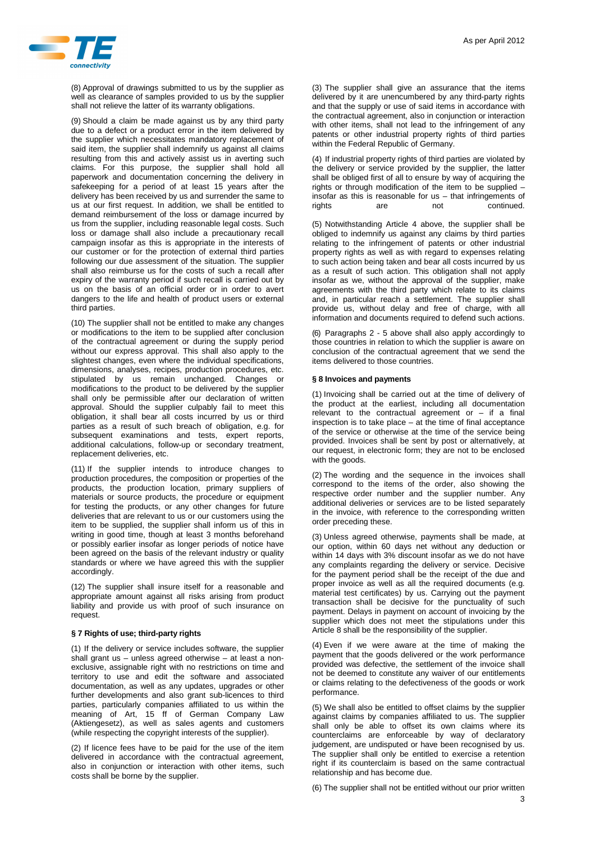

(8) Approval of drawings submitted to us by the supplier as well as clearance of samples provided to us by the supplier shall not relieve the latter of its warranty obligations.

(9) Should a claim be made against us by any third party due to a defect or a product error in the item delivered by the supplier which necessitates mandatory replacement of said item, the supplier shall indemnify us against all claims resulting from this and actively assist us in averting such claims. For this purpose, the supplier shall hold all paperwork and documentation concerning the delivery in safekeeping for a period of at least 15 years after the delivery has been received by us and surrender the same to us at our first request. In addition, we shall be entitled to demand reimbursement of the loss or damage incurred by us from the supplier, including reasonable legal costs. Such loss or damage shall also include a precautionary recall campaign insofar as this is appropriate in the interests of our customer or for the protection of external third parties following our due assessment of the situation. The supplier shall also reimburse us for the costs of such a recall after expiry of the warranty period if such recall is carried out by us on the basis of an official order or in order to avert dangers to the life and health of product users or external third parties.

(10) The supplier shall not be entitled to make any changes or modifications to the item to be supplied after conclusion of the contractual agreement or during the supply period without our express approval. This shall also apply to the slightest changes, even where the individual specifications, dimensions, analyses, recipes, production procedures, etc. stipulated by us remain unchanged. Changes or modifications to the product to be delivered by the supplier shall only be permissible after our declaration of written approval. Should the supplier culpably fail to meet this obligation, it shall bear all costs incurred by us or third parties as a result of such breach of obligation, e.g. for subsequent examinations and tests, expert reports, additional calculations, follow-up or secondary treatment, replacement deliveries, etc.

(11) If the supplier intends to introduce changes to production procedures, the composition or properties of the products, the production location, primary suppliers of materials or source products, the procedure or equipment for testing the products, or any other changes for future deliveries that are relevant to us or our customers using the item to be supplied, the supplier shall inform us of this in writing in good time, though at least 3 months beforehand or possibly earlier insofar as longer periods of notice have been agreed on the basis of the relevant industry or quality standards or where we have agreed this with the supplier accordingly.

(12) The supplier shall insure itself for a reasonable and appropriate amount against all risks arising from product liability and provide us with proof of such insurance on request.

#### **§ 7 Rights of use; third-party rights**

(1) If the delivery or service includes software, the supplier shall grant us – unless agreed otherwise – at least a nonexclusive, assignable right with no restrictions on time and territory to use and edit the software and associated documentation, as well as any updates, upgrades or other further developments and also grant sub-licences to third parties, particularly companies affiliated to us within the meaning of Art, 15 ff of German Company Law (Aktiengesetz), as well as sales agents and customers (while respecting the copyright interests of the supplier).

(2) If licence fees have to be paid for the use of the item delivered in accordance with the contractual agreement, also in conjunction or interaction with other items, such costs shall be borne by the supplier.

(3) The supplier shall give an assurance that the items delivered by it are unencumbered by any third-party rights and that the supply or use of said items in accordance with the contractual agreement, also in conjunction or interaction with other items, shall not lead to the infringement of any patents or other industrial property rights of third parties within the Federal Republic of Germany.

(4) If industrial property rights of third parties are violated by the delivery or service provided by the supplier, the latter shall be obliged first of all to ensure by way of acquiring the rights or through modification of the item to be supplied – insofar as this is reasonable for us – that infringements of rights are not continued

(5) Notwithstanding Article 4 above, the supplier shall be obliged to indemnify us against any claims by third parties relating to the infringement of patents or other industrial property rights as well as with regard to expenses relating to such action being taken and bear all costs incurred by us as a result of such action. This obligation shall not apply insofar as we, without the approval of the supplier, make agreements with the third party which relate to its claims and, in particular reach a settlement. The supplier shall provide us, without delay and free of charge, with all information and documents required to defend such actions.

(6) Paragraphs 2 - 5 above shall also apply accordingly to those countries in relation to which the supplier is aware on conclusion of the contractual agreement that we send the items delivered to those countries.

## **§ 8 Invoices and payments**

(1) Invoicing shall be carried out at the time of delivery of the product at the earliest, including all documentation relevant to the contractual agreement or  $-$  if a final inspection is to take place – at the time of final acceptance of the service or otherwise at the time of the service being provided. Invoices shall be sent by post or alternatively, at our request, in electronic form; they are not to be enclosed with the goods.

(2) The wording and the sequence in the invoices shall correspond to the items of the order, also showing the respective order number and the supplier number. Any additional deliveries or services are to be listed separately in the invoice, with reference to the corresponding written order preceding these.

(3) Unless agreed otherwise, payments shall be made, at our option, within 60 days net without any deduction or within 14 days with 3% discount insofar as we do not have any complaints regarding the delivery or service. Decisive for the payment period shall be the receipt of the due and proper invoice as well as all the required documents (e.g. material test certificates) by us. Carrying out the payment transaction shall be decisive for the punctuality of such payment. Delays in payment on account of invoicing by the supplier which does not meet the stipulations under this Article 8 shall be the responsibility of the supplier.

(4) Even if we were aware at the time of making the payment that the goods delivered or the work performance provided was defective, the settlement of the invoice shall not be deemed to constitute any waiver of our entitlements or claims relating to the defectiveness of the goods or work performance.

(5) We shall also be entitled to offset claims by the supplier against claims by companies affiliated to us. The supplier shall only be able to offset its own claims where its counterclaims are enforceable by way of declaratory judgement, are undisputed or have been recognised by us. The supplier shall only be entitled to exercise a retention right if its counterclaim is based on the same contractual relationship and has become due.

(6) The supplier shall not be entitled without our prior written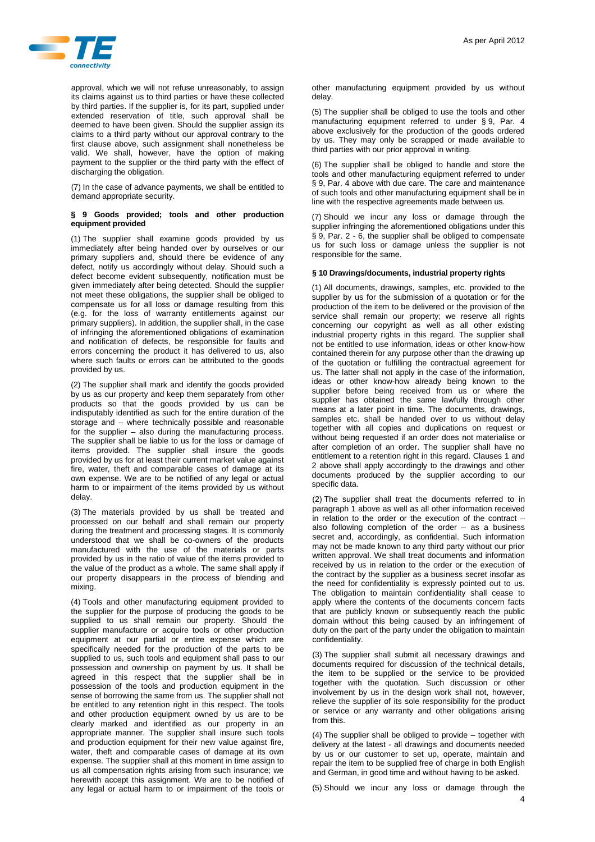

approval, which we will not refuse unreasonably, to assign its claims against us to third parties or have these collected by third parties. If the supplier is, for its part, supplied under extended reservation of title, such approval shall be deemed to have been given. Should the supplier assign its claims to a third party without our approval contrary to the first clause above, such assignment shall nonetheless be valid. We shall, however, have the option of making payment to the supplier or the third party with the effect of discharging the obligation.

(7) In the case of advance payments, we shall be entitled to demand appropriate security.

### **§ 9 Goods provided; tools and other production equipment provided**

(1) The supplier shall examine goods provided by us immediately after being handed over by ourselves or our primary suppliers and, should there be evidence of any defect, notify us accordingly without delay. Should such a defect become evident subsequently, notification must be given immediately after being detected. Should the supplier not meet these obligations, the supplier shall be obliged to compensate us for all loss or damage resulting from this (e.g. for the loss of warranty entitlements against our primary suppliers). In addition, the supplier shall, in the case of infringing the aforementioned obligations of examination and notification of defects, be responsible for faults and errors concerning the product it has delivered to us, also where such faults or errors can be attributed to the goods provided by us.

(2) The supplier shall mark and identify the goods provided by us as our property and keep them separately from other products so that the goods provided by us can be indisputably identified as such for the entire duration of the storage and – where technically possible and reasonable for the supplier – also during the manufacturing process. The supplier shall be liable to us for the loss or damage of items provided. The supplier shall insure the goods provided by us for at least their current market value against fire, water, theft and comparable cases of damage at its own expense. We are to be notified of any legal or actual harm to or impairment of the items provided by us without delay.

(3) The materials provided by us shall be treated and processed on our behalf and shall remain our property during the treatment and processing stages. It is commonly understood that we shall be co-owners of the products manufactured with the use of the materials or parts provided by us in the ratio of value of the items provided to the value of the product as a whole. The same shall apply if our property disappears in the process of blending and mixing.

(4) Tools and other manufacturing equipment provided to the supplier for the purpose of producing the goods to be supplied to us shall remain our property. Should the supplier manufacture or acquire tools or other production equipment at our partial or entire expense which are specifically needed for the production of the parts to be supplied to us, such tools and equipment shall pass to our possession and ownership on payment by us. It shall be agreed in this respect that the supplier shall be in possession of the tools and production equipment in the sense of borrowing the same from us. The supplier shall not be entitled to any retention right in this respect. The tools and other production equipment owned by us are to be clearly marked and identified as our property in an appropriate manner. The supplier shall insure such tools and production equipment for their new value against fire, water, theft and comparable cases of damage at its own expense. The supplier shall at this moment in time assign to us all compensation rights arising from such insurance; we herewith accept this assignment. We are to be notified of any legal or actual harm to or impairment of the tools or other manufacturing equipment provided by us without delay.

(5) The supplier shall be obliged to use the tools and other manufacturing equipment referred to under § 9, Par. 4 above exclusively for the production of the goods ordered by us. They may only be scrapped or made available to third parties with our prior approval in writing.

(6) The supplier shall be obliged to handle and store the tools and other manufacturing equipment referred to under § 9, Par. 4 above with due care. The care and maintenance of such tools and other manufacturing equipment shall be in line with the respective agreements made between us.

(7) Should we incur any loss or damage through the supplier infringing the aforementioned obligations under this § 9, Par. 2 - 6, the supplier shall be obliged to compensate us for such loss or damage unless the supplier is not responsible for the same.

# **§ 10 Drawings/documents, industrial property rights**

(1) All documents, drawings, samples, etc. provided to the supplier by us for the submission of a quotation or for the production of the item to be delivered or the provision of the service shall remain our property; we reserve all rights concerning our copyright as well as all other existing industrial property rights in this regard. The supplier shall not be entitled to use information, ideas or other know-how contained therein for any purpose other than the drawing up of the quotation or fulfilling the contractual agreement for us. The latter shall not apply in the case of the information, ideas or other know-how already being known to the supplier before being received from us or where the supplier has obtained the same lawfully through other means at a later point in time. The documents, drawings, samples etc. shall be handed over to us without delay together with all copies and duplications on request or without being requested if an order does not materialise or after completion of an order. The supplier shall have no entitlement to a retention right in this regard. Clauses 1 and 2 above shall apply accordingly to the drawings and other documents produced by the supplier according to our specific data.

(2) The supplier shall treat the documents referred to in  $\overrightarrow{p}$  paragraph 1 above as well as all other information received in relation to the order or the execution of the contract – also following completion of the order – as a business secret and, accordingly, as confidential. Such information may not be made known to any third party without our prior written approval. We shall treat documents and information received by us in relation to the order or the execution of the contract by the supplier as a business secret insofar as the need for confidentiality is expressly pointed out to us. The obligation to maintain confidentiality shall cease to apply where the contents of the documents concern facts that are publicly known or subsequently reach the public domain without this being caused by an infringement of duty on the part of the party under the obligation to maintain confidentiality.

(3) The supplier shall submit all necessary drawings and documents required for discussion of the technical details, the item to be supplied or the service to be provided together with the quotation. Such discussion or other involvement by us in the design work shall not, however, relieve the supplier of its sole responsibility for the product or service or any warranty and other obligations arising from this.

(4) The supplier shall be obliged to provide – together with delivery at the latest - all drawings and documents needed by us or our customer to set up, operate, maintain and repair the item to be supplied free of charge in both English and German, in good time and without having to be asked.

(5) Should we incur any loss or damage through the